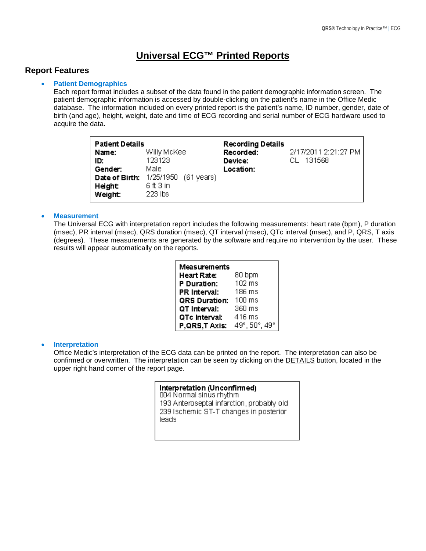# **Universal ECG™ Printed Reports**

## **Report Features**

## • **Patient Demographics**

Each report format includes a subset of the data found in the patient demographic information screen. The patient demographic information is accessed by double-clicking on the patient's name in the Office Medic database. The information included on every printed report is the patient's name, ID number, gender, date of birth (and age), height, weight, date and time of ECG recording and serial number of ECG hardware used to acquire the data.

| <b>Patient Details</b><br>Name:<br>ID:<br>Gender:<br>Date of Birth: | Willy McKee<br>123123<br>Male<br>1/25/1950 (61 years)<br>6 ft 3 in | <b>Recording Details</b><br>Recorded:<br>Device:<br>Location: | 2/17/2011 2:21:27 PM<br>CL 131568 |
|---------------------------------------------------------------------|--------------------------------------------------------------------|---------------------------------------------------------------|-----------------------------------|
| Height<br>Weight:                                                   | 223 lbs                                                            |                                                               |                                   |

## • **Measurement**

The Universal ECG with interpretation report includes the following measurements: heart rate (bpm), P duration (msec), PR interval (msec), QRS duration (msec), QT interval (msec), QTc interval (msec), and P, QRS, T axis (degrees). These measurements are generated by the software and require no intervention by the user. These results will appear automatically on the reports.

| Measurements         |               |  |  |  |
|----------------------|---------------|--|--|--|
| Heart Rate:          | 80 bpm        |  |  |  |
| P Duration:          | 102 ms        |  |  |  |
| <b>PR Interval:</b>  | 186 ms        |  |  |  |
| <b>QRS Duration:</b> | 100 ms        |  |  |  |
| QT Interval:         | 360 ms        |  |  |  |
| QTc Interval:        | 416 ms        |  |  |  |
| P,QRS,T Axis:        | 49°, 50°, 49° |  |  |  |

## • **Interpretation**

Office Medic's interpretation of the ECG data can be printed on the report. The interpretation can also be confirmed or overwritten. The interpretation can be seen by clicking on the DETAILS button, located in the upper right hand corner of the report page.

> Interpretation (Unconfirmed) 004 Normal sinus rhythm 193 Anteroseptal infarction, probably old 239 Ischemic ST-T changes in posterior leads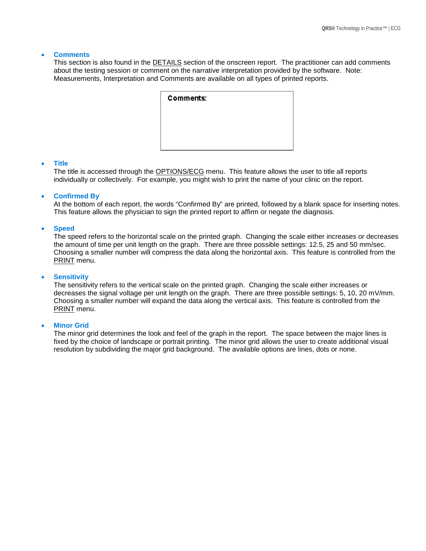#### • **Comments**

This section is also found in the DETAILS section of the onscreen report. The practitioner can add comments about the testing session or comment on the narrative interpretation provided by the software. Note: Measurements, Interpretation and Comments are available on all types of printed reports.

| <b>Comments:</b> |  |  |
|------------------|--|--|
|                  |  |  |
|                  |  |  |
|                  |  |  |

#### • **Title**

The title is accessed through the OPTIONS/ECG menu. This feature allows the user to title all reports individually or collectively. For example, you might wish to print the name of your clinic on the report.

#### • **Confirmed By**

At the bottom of each report, the words "Confirmed By" are printed, followed by a blank space for inserting notes. This feature allows the physician to sign the printed report to affirm or negate the diagnosis.

#### • **Speed**

The speed refers to the horizontal scale on the printed graph. Changing the scale either increases or decreases the amount of time per unit length on the graph. There are three possible settings: 12.5, 25 and 50 mm/sec. Choosing a smaller number will compress the data along the horizontal axis. This feature is controlled from the PRINT menu.

#### • **Sensitivity**

The sensitivity refers to the vertical scale on the printed graph. Changing the scale either increases or decreases the signal voltage per unit length on the graph. There are three possible settings: 5, 10, 20 mV/mm. Choosing a smaller number will expand the data along the vertical axis. This feature is controlled from the PRINT menu.

#### **Minor Grid**

The minor grid determines the look and feel of the graph in the report. The space between the major lines is fixed by the choice of landscape or portrait printing. The minor grid allows the user to create additional visual resolution by subdividing the major grid background. The available options are lines, dots or none.